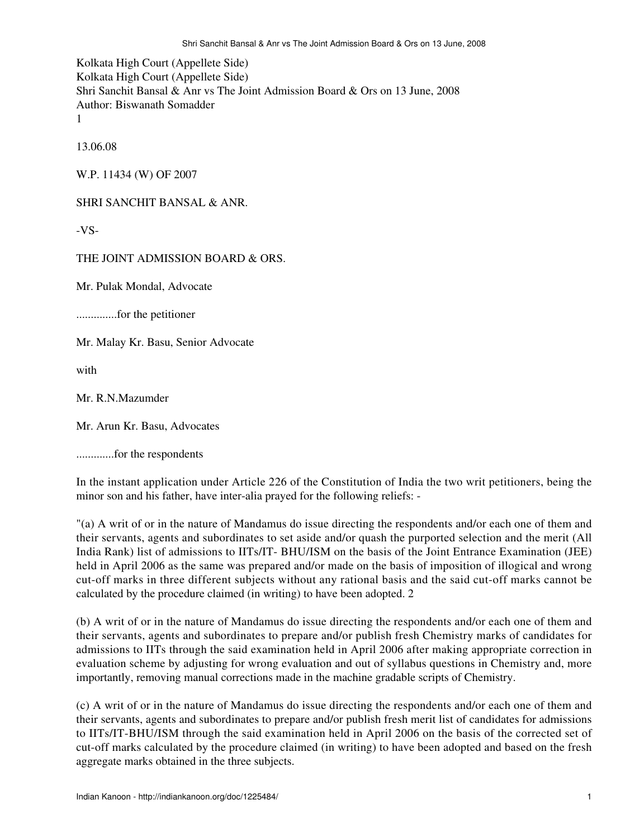Kolkata High Court (Appellete Side) Kolkata High Court (Appellete Side) Shri Sanchit Bansal & Anr vs The Joint Admission Board & Ors on 13 June, 2008 Author: Biswanath Somadder 1

13.06.08

W.P. 11434 (W) OF 2007

SHRI SANCHIT BANSAL & ANR.

-VS-

THE JOINT ADMISSION BOARD & ORS.

Mr. Pulak Mondal, Advocate

..............for the petitioner

Mr. Malay Kr. Basu, Senior Advocate

with

Mr. R.N.Mazumder

Mr. Arun Kr. Basu, Advocates

.............for the respondents

In the instant application under Article 226 of the Constitution of India the two writ petitioners, being the minor son and his father, have inter-alia prayed for the following reliefs: -

"(a) A writ of or in the nature of Mandamus do issue directing the respondents and/or each one of them and their servants, agents and subordinates to set aside and/or quash the purported selection and the merit (All India Rank) list of admissions to IITs/IT- BHU/ISM on the basis of the Joint Entrance Examination (JEE) held in April 2006 as the same was prepared and/or made on the basis of imposition of illogical and wrong cut-off marks in three different subjects without any rational basis and the said cut-off marks cannot be calculated by the procedure claimed (in writing) to have been adopted. 2

(b) A writ of or in the nature of Mandamus do issue directing the respondents and/or each one of them and their servants, agents and subordinates to prepare and/or publish fresh Chemistry marks of candidates for admissions to IITs through the said examination held in April 2006 after making appropriate correction in evaluation scheme by adjusting for wrong evaluation and out of syllabus questions in Chemistry and, more importantly, removing manual corrections made in the machine gradable scripts of Chemistry.

(c) A writ of or in the nature of Mandamus do issue directing the respondents and/or each one of them and their servants, agents and subordinates to prepare and/or publish fresh merit list of candidates for admissions to IITs/IT-BHU/ISM through the said examination held in April 2006 on the basis of the corrected set of cut-off marks calculated by the procedure claimed (in writing) to have been adopted and based on the fresh aggregate marks obtained in the three subjects.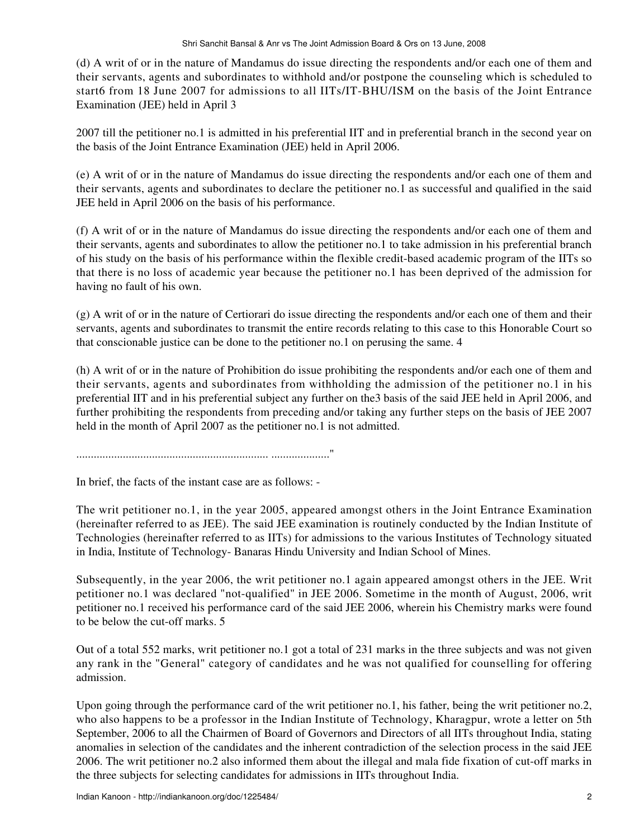(d) A writ of or in the nature of Mandamus do issue directing the respondents and/or each one of them and their servants, agents and subordinates to withhold and/or postpone the counseling which is scheduled to start6 from 18 June 2007 for admissions to all IITs/IT-BHU/ISM on the basis of the Joint Entrance Examination (JEE) held in April 3

2007 till the petitioner no.1 is admitted in his preferential IIT and in preferential branch in the second year on the basis of the Joint Entrance Examination (JEE) held in April 2006.

(e) A writ of or in the nature of Mandamus do issue directing the respondents and/or each one of them and their servants, agents and subordinates to declare the petitioner no.1 as successful and qualified in the said JEE held in April 2006 on the basis of his performance.

(f) A writ of or in the nature of Mandamus do issue directing the respondents and/or each one of them and their servants, agents and subordinates to allow the petitioner no.1 to take admission in his preferential branch of his study on the basis of his performance within the flexible credit-based academic program of the IITs so that there is no loss of academic year because the petitioner no.1 has been deprived of the admission for having no fault of his own.

(g) A writ of or in the nature of Certiorari do issue directing the respondents and/or each one of them and their servants, agents and subordinates to transmit the entire records relating to this case to this Honorable Court so that conscionable justice can be done to the petitioner no.1 on perusing the same. 4

(h) A writ of or in the nature of Prohibition do issue prohibiting the respondents and/or each one of them and their servants, agents and subordinates from withholding the admission of the petitioner no.1 in his preferential IIT and in his preferential subject any further on the3 basis of the said JEE held in April 2006, and further prohibiting the respondents from preceding and/or taking any further steps on the basis of JEE 2007 held in the month of April 2007 as the petitioner no.1 is not admitted.

.................................................................. ...................."

In brief, the facts of the instant case are as follows: -

The writ petitioner no.1, in the year 2005, appeared amongst others in the Joint Entrance Examination (hereinafter referred to as JEE). The said JEE examination is routinely conducted by the Indian Institute of Technologies (hereinafter referred to as IITs) for admissions to the various Institutes of Technology situated in India, Institute of Technology- Banaras Hindu University and Indian School of Mines.

Subsequently, in the year 2006, the writ petitioner no.1 again appeared amongst others in the JEE. Writ petitioner no.1 was declared "not-qualified" in JEE 2006. Sometime in the month of August, 2006, writ petitioner no.1 received his performance card of the said JEE 2006, wherein his Chemistry marks were found to be below the cut-off marks. 5

Out of a total 552 marks, writ petitioner no.1 got a total of 231 marks in the three subjects and was not given any rank in the "General" category of candidates and he was not qualified for counselling for offering admission.

Upon going through the performance card of the writ petitioner no.1, his father, being the writ petitioner no.2, who also happens to be a professor in the Indian Institute of Technology, Kharagpur, wrote a letter on 5th September, 2006 to all the Chairmen of Board of Governors and Directors of all IITs throughout India, stating anomalies in selection of the candidates and the inherent contradiction of the selection process in the said JEE 2006. The writ petitioner no.2 also informed them about the illegal and mala fide fixation of cut-off marks in the three subjects for selecting candidates for admissions in IITs throughout India.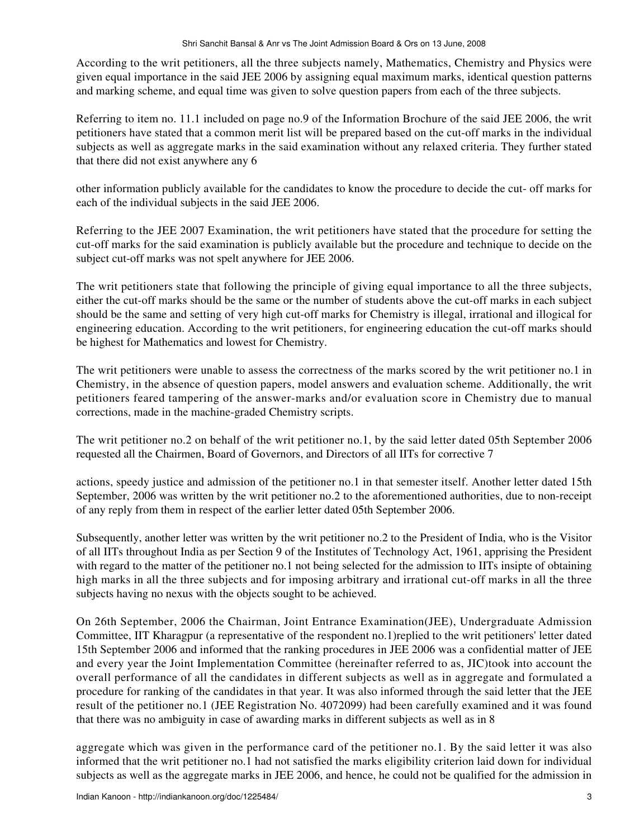According to the writ petitioners, all the three subjects namely, Mathematics, Chemistry and Physics were given equal importance in the said JEE 2006 by assigning equal maximum marks, identical question patterns and marking scheme, and equal time was given to solve question papers from each of the three subjects.

Referring to item no. 11.1 included on page no.9 of the Information Brochure of the said JEE 2006, the writ petitioners have stated that a common merit list will be prepared based on the cut-off marks in the individual subjects as well as aggregate marks in the said examination without any relaxed criteria. They further stated that there did not exist anywhere any 6

other information publicly available for the candidates to know the procedure to decide the cut- off marks for each of the individual subjects in the said JEE 2006.

Referring to the JEE 2007 Examination, the writ petitioners have stated that the procedure for setting the cut-off marks for the said examination is publicly available but the procedure and technique to decide on the subject cut-off marks was not spelt anywhere for JEE 2006.

The writ petitioners state that following the principle of giving equal importance to all the three subjects, either the cut-off marks should be the same or the number of students above the cut-off marks in each subject should be the same and setting of very high cut-off marks for Chemistry is illegal, irrational and illogical for engineering education. According to the writ petitioners, for engineering education the cut-off marks should be highest for Mathematics and lowest for Chemistry.

The writ petitioners were unable to assess the correctness of the marks scored by the writ petitioner no.1 in Chemistry, in the absence of question papers, model answers and evaluation scheme. Additionally, the writ petitioners feared tampering of the answer-marks and/or evaluation score in Chemistry due to manual corrections, made in the machine-graded Chemistry scripts.

The writ petitioner no.2 on behalf of the writ petitioner no.1, by the said letter dated 05th September 2006 requested all the Chairmen, Board of Governors, and Directors of all IITs for corrective 7

actions, speedy justice and admission of the petitioner no.1 in that semester itself. Another letter dated 15th September, 2006 was written by the writ petitioner no.2 to the aforementioned authorities, due to non-receipt of any reply from them in respect of the earlier letter dated 05th September 2006.

Subsequently, another letter was written by the writ petitioner no.2 to the President of India, who is the Visitor of all IITs throughout India as per Section 9 of the Institutes of Technology Act, 1961, apprising the President with regard to the matter of the petitioner no.1 not being selected for the admission to IITs insipte of obtaining high marks in all the three subjects and for imposing arbitrary and irrational cut-off marks in all the three subjects having no nexus with the objects sought to be achieved.

On 26th September, 2006 the Chairman, Joint Entrance Examination(JEE), Undergraduate Admission Committee, IIT Kharagpur (a representative of the respondent no.1)replied to the writ petitioners' letter dated 15th September 2006 and informed that the ranking procedures in JEE 2006 was a confidential matter of JEE and every year the Joint Implementation Committee (hereinafter referred to as, JIC)took into account the overall performance of all the candidates in different subjects as well as in aggregate and formulated a procedure for ranking of the candidates in that year. It was also informed through the said letter that the JEE result of the petitioner no.1 (JEE Registration No. 4072099) had been carefully examined and it was found that there was no ambiguity in case of awarding marks in different subjects as well as in 8

aggregate which was given in the performance card of the petitioner no.1. By the said letter it was also informed that the writ petitioner no.1 had not satisfied the marks eligibility criterion laid down for individual subjects as well as the aggregate marks in JEE 2006, and hence, he could not be qualified for the admission in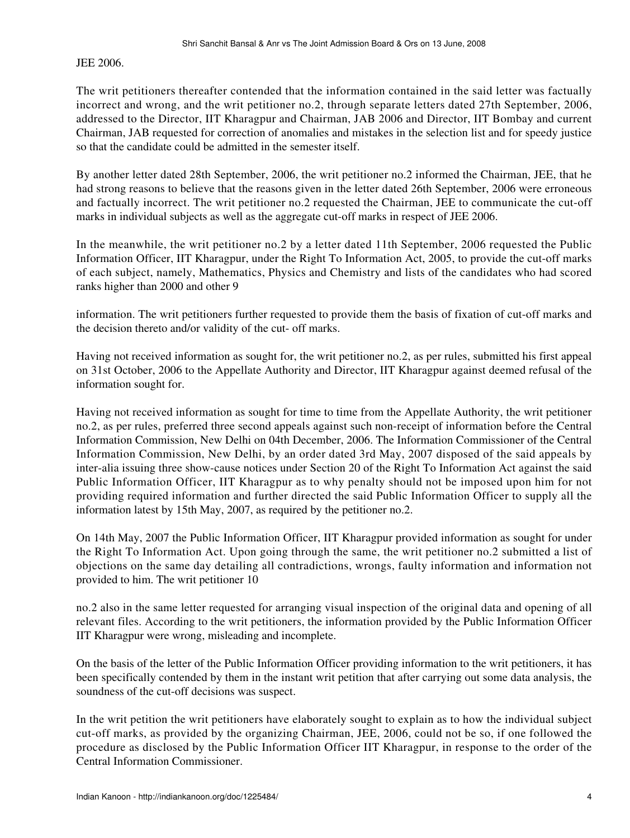JEE 2006.

The writ petitioners thereafter contended that the information contained in the said letter was factually incorrect and wrong, and the writ petitioner no.2, through separate letters dated 27th September, 2006, addressed to the Director, IIT Kharagpur and Chairman, JAB 2006 and Director, IIT Bombay and current Chairman, JAB requested for correction of anomalies and mistakes in the selection list and for speedy justice so that the candidate could be admitted in the semester itself.

By another letter dated 28th September, 2006, the writ petitioner no.2 informed the Chairman, JEE, that he had strong reasons to believe that the reasons given in the letter dated 26th September, 2006 were erroneous and factually incorrect. The writ petitioner no.2 requested the Chairman, JEE to communicate the cut-off marks in individual subjects as well as the aggregate cut-off marks in respect of JEE 2006.

In the meanwhile, the writ petitioner no.2 by a letter dated 11th September, 2006 requested the Public Information Officer, IIT Kharagpur, under the Right To Information Act, 2005, to provide the cut-off marks of each subject, namely, Mathematics, Physics and Chemistry and lists of the candidates who had scored ranks higher than 2000 and other 9

information. The writ petitioners further requested to provide them the basis of fixation of cut-off marks and the decision thereto and/or validity of the cut- off marks.

Having not received information as sought for, the writ petitioner no.2, as per rules, submitted his first appeal on 31st October, 2006 to the Appellate Authority and Director, IIT Kharagpur against deemed refusal of the information sought for.

Having not received information as sought for time to time from the Appellate Authority, the writ petitioner no.2, as per rules, preferred three second appeals against such non-receipt of information before the Central Information Commission, New Delhi on 04th December, 2006. The Information Commissioner of the Central Information Commission, New Delhi, by an order dated 3rd May, 2007 disposed of the said appeals by inter-alia issuing three show-cause notices under Section 20 of the Right To Information Act against the said Public Information Officer, IIT Kharagpur as to why penalty should not be imposed upon him for not providing required information and further directed the said Public Information Officer to supply all the information latest by 15th May, 2007, as required by the petitioner no.2.

On 14th May, 2007 the Public Information Officer, IIT Kharagpur provided information as sought for under the Right To Information Act. Upon going through the same, the writ petitioner no.2 submitted a list of objections on the same day detailing all contradictions, wrongs, faulty information and information not provided to him. The writ petitioner 10

no.2 also in the same letter requested for arranging visual inspection of the original data and opening of all relevant files. According to the writ petitioners, the information provided by the Public Information Officer IIT Kharagpur were wrong, misleading and incomplete.

On the basis of the letter of the Public Information Officer providing information to the writ petitioners, it has been specifically contended by them in the instant writ petition that after carrying out some data analysis, the soundness of the cut-off decisions was suspect.

In the writ petition the writ petitioners have elaborately sought to explain as to how the individual subject cut-off marks, as provided by the organizing Chairman, JEE, 2006, could not be so, if one followed the procedure as disclosed by the Public Information Officer IIT Kharagpur, in response to the order of the Central Information Commissioner.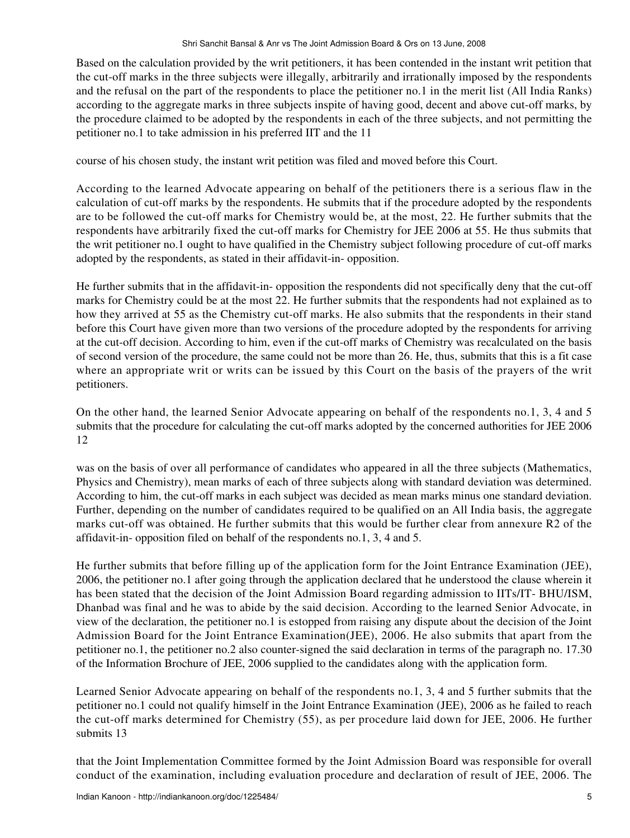Based on the calculation provided by the writ petitioners, it has been contended in the instant writ petition that the cut-off marks in the three subjects were illegally, arbitrarily and irrationally imposed by the respondents and the refusal on the part of the respondents to place the petitioner no.1 in the merit list (All India Ranks) according to the aggregate marks in three subjects inspite of having good, decent and above cut-off marks, by the procedure claimed to be adopted by the respondents in each of the three subjects, and not permitting the petitioner no.1 to take admission in his preferred IIT and the 11

course of his chosen study, the instant writ petition was filed and moved before this Court.

According to the learned Advocate appearing on behalf of the petitioners there is a serious flaw in the calculation of cut-off marks by the respondents. He submits that if the procedure adopted by the respondents are to be followed the cut-off marks for Chemistry would be, at the most, 22. He further submits that the respondents have arbitrarily fixed the cut-off marks for Chemistry for JEE 2006 at 55. He thus submits that the writ petitioner no.1 ought to have qualified in the Chemistry subject following procedure of cut-off marks adopted by the respondents, as stated in their affidavit-in- opposition.

He further submits that in the affidavit-in- opposition the respondents did not specifically deny that the cut-off marks for Chemistry could be at the most 22. He further submits that the respondents had not explained as to how they arrived at 55 as the Chemistry cut-off marks. He also submits that the respondents in their stand before this Court have given more than two versions of the procedure adopted by the respondents for arriving at the cut-off decision. According to him, even if the cut-off marks of Chemistry was recalculated on the basis of second version of the procedure, the same could not be more than 26. He, thus, submits that this is a fit case where an appropriate writ or writs can be issued by this Court on the basis of the prayers of the writ petitioners.

On the other hand, the learned Senior Advocate appearing on behalf of the respondents no.1, 3, 4 and 5 submits that the procedure for calculating the cut-off marks adopted by the concerned authorities for JEE 2006 12

was on the basis of over all performance of candidates who appeared in all the three subjects (Mathematics, Physics and Chemistry), mean marks of each of three subjects along with standard deviation was determined. According to him, the cut-off marks in each subject was decided as mean marks minus one standard deviation. Further, depending on the number of candidates required to be qualified on an All India basis, the aggregate marks cut-off was obtained. He further submits that this would be further clear from annexure R2 of the affidavit-in- opposition filed on behalf of the respondents no.1, 3, 4 and 5.

He further submits that before filling up of the application form for the Joint Entrance Examination (JEE), 2006, the petitioner no.1 after going through the application declared that he understood the clause wherein it has been stated that the decision of the Joint Admission Board regarding admission to IITs/IT- BHU/ISM, Dhanbad was final and he was to abide by the said decision. According to the learned Senior Advocate, in view of the declaration, the petitioner no.1 is estopped from raising any dispute about the decision of the Joint Admission Board for the Joint Entrance Examination(JEE), 2006. He also submits that apart from the petitioner no.1, the petitioner no.2 also counter-signed the said declaration in terms of the paragraph no. 17.30 of the Information Brochure of JEE, 2006 supplied to the candidates along with the application form.

Learned Senior Advocate appearing on behalf of the respondents no.1, 3, 4 and 5 further submits that the petitioner no.1 could not qualify himself in the Joint Entrance Examination (JEE), 2006 as he failed to reach the cut-off marks determined for Chemistry (55), as per procedure laid down for JEE, 2006. He further submits 13

that the Joint Implementation Committee formed by the Joint Admission Board was responsible for overall conduct of the examination, including evaluation procedure and declaration of result of JEE, 2006. The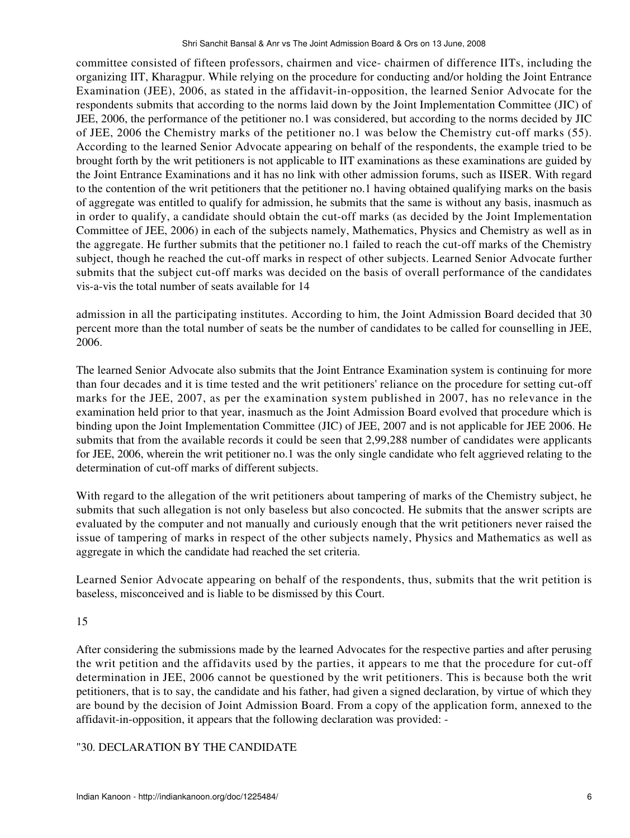committee consisted of fifteen professors, chairmen and vice- chairmen of difference IITs, including the organizing IIT, Kharagpur. While relying on the procedure for conducting and/or holding the Joint Entrance Examination (JEE), 2006, as stated in the affidavit-in-opposition, the learned Senior Advocate for the respondents submits that according to the norms laid down by the Joint Implementation Committee (JIC) of JEE, 2006, the performance of the petitioner no.1 was considered, but according to the norms decided by JIC of JEE, 2006 the Chemistry marks of the petitioner no.1 was below the Chemistry cut-off marks (55). According to the learned Senior Advocate appearing on behalf of the respondents, the example tried to be brought forth by the writ petitioners is not applicable to IIT examinations as these examinations are guided by the Joint Entrance Examinations and it has no link with other admission forums, such as IISER. With regard to the contention of the writ petitioners that the petitioner no.1 having obtained qualifying marks on the basis of aggregate was entitled to qualify for admission, he submits that the same is without any basis, inasmuch as in order to qualify, a candidate should obtain the cut-off marks (as decided by the Joint Implementation Committee of JEE, 2006) in each of the subjects namely, Mathematics, Physics and Chemistry as well as in the aggregate. He further submits that the petitioner no.1 failed to reach the cut-off marks of the Chemistry subject, though he reached the cut-off marks in respect of other subjects. Learned Senior Advocate further submits that the subject cut-off marks was decided on the basis of overall performance of the candidates vis-a-vis the total number of seats available for 14

admission in all the participating institutes. According to him, the Joint Admission Board decided that 30 percent more than the total number of seats be the number of candidates to be called for counselling in JEE, 2006.

The learned Senior Advocate also submits that the Joint Entrance Examination system is continuing for more than four decades and it is time tested and the writ petitioners' reliance on the procedure for setting cut-off marks for the JEE, 2007, as per the examination system published in 2007, has no relevance in the examination held prior to that year, inasmuch as the Joint Admission Board evolved that procedure which is binding upon the Joint Implementation Committee (JIC) of JEE, 2007 and is not applicable for JEE 2006. He submits that from the available records it could be seen that 2,99,288 number of candidates were applicants for JEE, 2006, wherein the writ petitioner no.1 was the only single candidate who felt aggrieved relating to the determination of cut-off marks of different subjects.

With regard to the allegation of the writ petitioners about tampering of marks of the Chemistry subject, he submits that such allegation is not only baseless but also concocted. He submits that the answer scripts are evaluated by the computer and not manually and curiously enough that the writ petitioners never raised the issue of tampering of marks in respect of the other subjects namely, Physics and Mathematics as well as aggregate in which the candidate had reached the set criteria.

Learned Senior Advocate appearing on behalf of the respondents, thus, submits that the writ petition is baseless, misconceived and is liable to be dismissed by this Court.

## 15

After considering the submissions made by the learned Advocates for the respective parties and after perusing the writ petition and the affidavits used by the parties, it appears to me that the procedure for cut-off determination in JEE, 2006 cannot be questioned by the writ petitioners. This is because both the writ petitioners, that is to say, the candidate and his father, had given a signed declaration, by virtue of which they are bound by the decision of Joint Admission Board. From a copy of the application form, annexed to the affidavit-in-opposition, it appears that the following declaration was provided: -

## "30. DECLARATION BY THE CANDIDATE